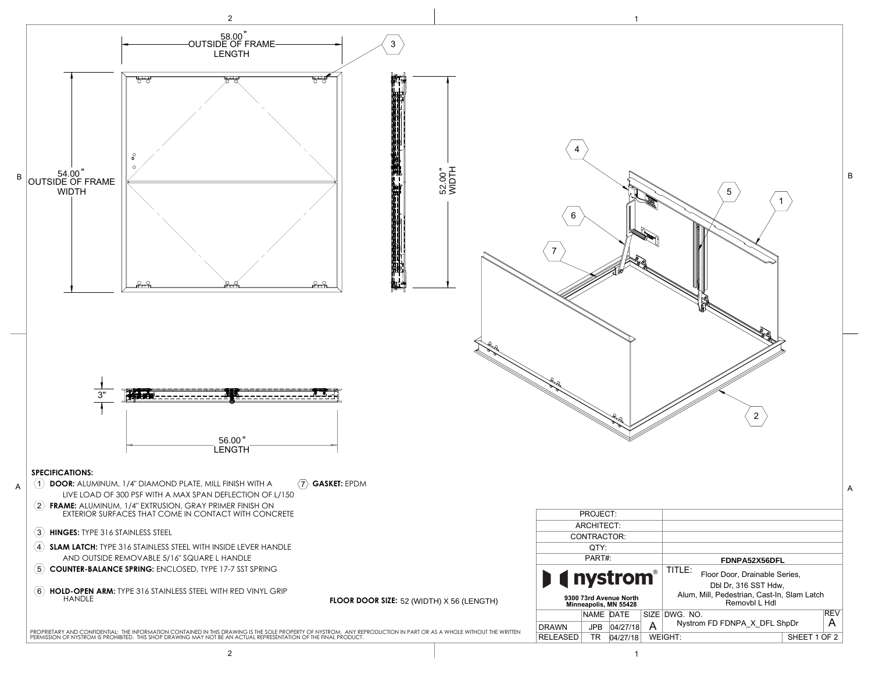